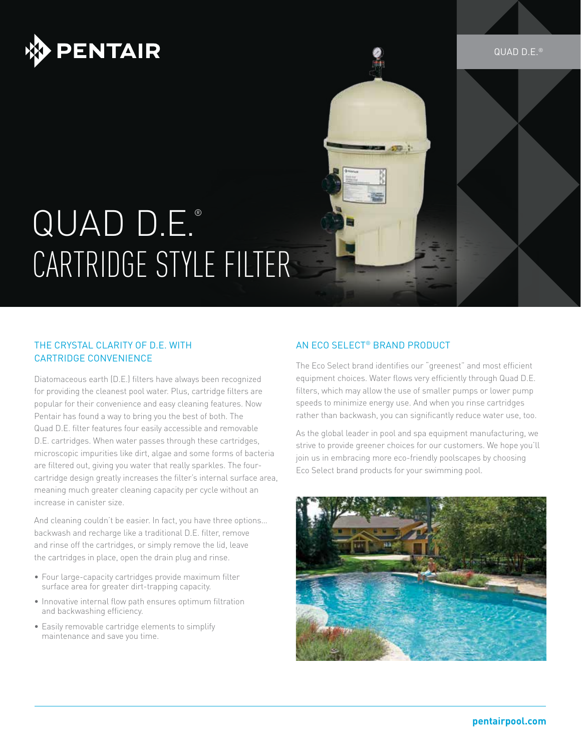

# QUAD D.E.® CARTRIDGE STYLE FILTER

### The Crystal Clarity of D.E. with Cartridge Convenience

Diatomaceous earth (D.E.) filters have always been recognized for providing the cleanest pool water. Plus, cartridge filters are popular for their convenience and easy cleaning features. Now Pentair has found a way to bring you the best of both. The Quad D.E. filter features four easily accessible and removable D.E. cartridges. When water passes through these cartridges, microscopic impurities like dirt, algae and some forms of bacteria are filtered out, giving you water that really sparkles. The fourcartridge design greatly increases the filter's internal surface area, meaning much greater cleaning capacity per cycle without an increase in canister size.

And cleaning couldn't be easier. In fact, you have three options… backwash and recharge like a traditional D.E. filter, remove and rinse off the cartridges, or simply remove the lid, leave the cartridges in place, open the drain plug and rinse.

- Four large-capacity cartridges provide maximum filter surface area for greater dirt-trapping capacity.
- Innovative internal flow path ensures optimum filtration and backwashing efficiency.
- Easily removable cartridge elements to simplify maintenance and save you time.

### An Eco Select® Brand Product

The Eco Select brand identifies our "greenest" and most efficient equipment choices. Water flows very efficiently through Quad D.E. filters, which may allow the use of smaller pumps or lower pump speeds to minimize energy use. And when you rinse cartridges rather than backwash, you can significantly reduce water use, too.

As the global leader in pool and spa equipment manufacturing, we strive to provide greener choices for our customers. We hope you'll join us in embracing more eco-friendly poolscapes by choosing Eco Select brand products for your swimming pool.



QUAD D.E. ®